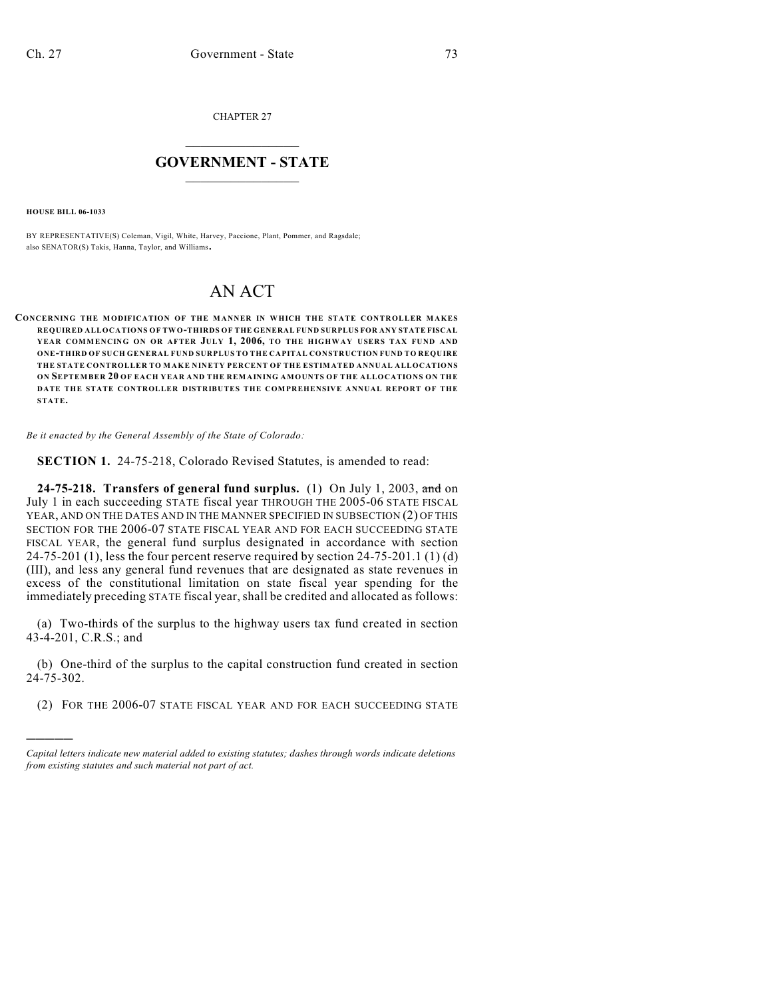CHAPTER 27

## $\mathcal{L}_\text{max}$  . The set of the set of the set of the set of the set of the set of the set of the set of the set of the set of the set of the set of the set of the set of the set of the set of the set of the set of the set **GOVERNMENT - STATE**  $\_$   $\_$

**HOUSE BILL 06-1033**

)))))

BY REPRESENTATIVE(S) Coleman, Vigil, White, Harvey, Paccione, Plant, Pommer, and Ragsdale; also SENATOR(S) Takis, Hanna, Taylor, and Williams.

## AN ACT

**CONCERNING THE MODIFICATION OF THE MANNER IN WHICH THE STATE CONTROLLER MAKES REQUIRED ALLOCATIONS OF TW O-THIRDS OF THE GENERAL FUND SURPLUS FOR ANY STATE FISCAL YEAR COMMENCING ON OR AFTER JULY 1, 2006, TO THE HIGHWAY USERS TAX FUND AND ONE-THIRD OF SUCH GENERAL FUND SURPLUS TO THE CAPITAL CONSTRUCTION FUND TO REQUIRE THE STATE CONTROLLER TO M AKE NINETY PERCENT OF THE ESTIMATED ANNUAL ALLOCATIONS ON SEPTEMBER 20 OF EACH YEAR AND THE REMAINING AMOUNTS OF THE ALLOCATIONS ON THE DATE THE STATE CONTROLLER DISTRIBUTES THE COMPREHENSIVE ANNUAL REPORT OF THE STATE.**

*Be it enacted by the General Assembly of the State of Colorado:*

**SECTION 1.** 24-75-218, Colorado Revised Statutes, is amended to read:

**24-75-218. Transfers of general fund surplus.** (1) On July 1, 2003, and on July 1 in each succeeding STATE fiscal year THROUGH THE 2005-06 STATE FISCAL YEAR, AND ON THE DATES AND IN THE MANNER SPECIFIED IN SUBSECTION (2) OF THIS SECTION FOR THE 2006-07 STATE FISCAL YEAR AND FOR EACH SUCCEEDING STATE FISCAL YEAR, the general fund surplus designated in accordance with section 24-75-201 (1), less the four percent reserve required by section 24-75-201.1 (1) (d) (III), and less any general fund revenues that are designated as state revenues in excess of the constitutional limitation on state fiscal year spending for the immediately preceding STATE fiscal year, shall be credited and allocated as follows:

(a) Two-thirds of the surplus to the highway users tax fund created in section 43-4-201, C.R.S.; and

(b) One-third of the surplus to the capital construction fund created in section 24-75-302.

(2) FOR THE 2006-07 STATE FISCAL YEAR AND FOR EACH SUCCEEDING STATE

*Capital letters indicate new material added to existing statutes; dashes through words indicate deletions from existing statutes and such material not part of act.*